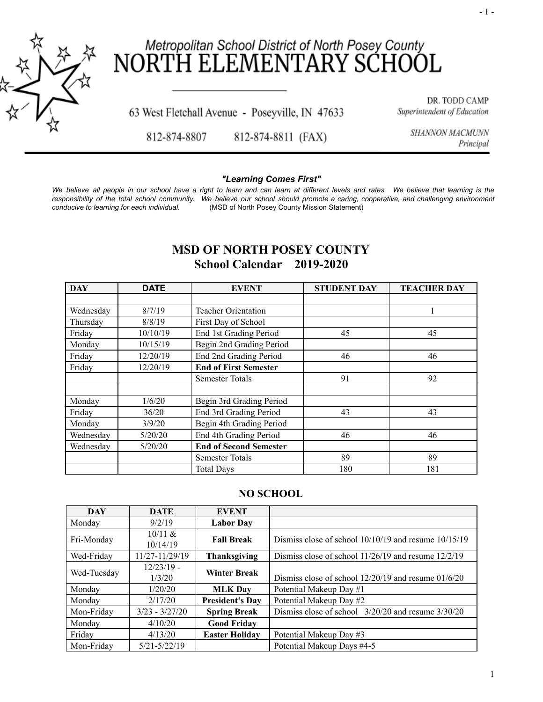

# Metropolitan School District of North Posey County<br>RTH ELEMENTARY SCHOOL NOR<sub>1</sub>

63 West Fletchall Avenue - Poseyville, IN 47633

DR. TODD CAMP Superintendent of Education

812-874-8807 812-874-8811 (FAX) SHANNON MACMUNN Principal

## *"Learning Comes First"*

We believe all people in our school have a right to learn and can learn at different levels and rates. We believe that learning is the responsibility of the total school community. We believe our school should promote a caring, cooperative, and challenging environment *conducive to learning for each individual.* (MSD of North Posey County Mission Statement)

# **MSD OF NORTH POSEY COUNTY School Calendar 2019-2020**

| <b>DAY</b> | <b>DATE</b> | <b>EVENT</b>                  | <b>STUDENT DAY</b> | <b>TEACHER DAY</b> |
|------------|-------------|-------------------------------|--------------------|--------------------|
|            |             |                               |                    |                    |
| Wednesday  | 8/7/19      | <b>Teacher Orientation</b>    |                    |                    |
| Thursday   | 8/8/19      | First Day of School           |                    |                    |
| Friday     | 10/10/19    | End 1st Grading Period        | 45                 | 45                 |
| Monday     | 10/15/19    | Begin 2nd Grading Period      |                    |                    |
| Friday     | 12/20/19    | End 2nd Grading Period        | 46                 | 46                 |
| Friday     | 12/20/19    | <b>End of First Semester</b>  |                    |                    |
|            |             | Semester Totals               | 91                 | 92                 |
|            |             |                               |                    |                    |
| Monday     | 1/6/20      | Begin 3rd Grading Period      |                    |                    |
| Friday     | 36/20       | End 3rd Grading Period        | 43                 | 43                 |
| Monday     | 3/9/20      | Begin 4th Grading Period      |                    |                    |
| Wednesday  | 5/20/20     | End 4th Grading Period        | 46                 | 46                 |
| Wednesday  | 5/20/20     | <b>End of Second Semester</b> |                    |                    |
|            |             | <b>Semester Totals</b>        | 89                 | 89                 |
|            |             | <b>Total Days</b>             | 180                | 181                |

# **NO SCHOOL**

| <b>DAY</b>  | <b>DATE</b>            | <b>EVENT</b>           |                                                          |
|-------------|------------------------|------------------------|----------------------------------------------------------|
| Monday      | 9/2/19                 | <b>Labor Day</b>       |                                                          |
| Fri-Monday  | $10/11 \&$<br>10/14/19 | <b>Fall Break</b>      | Dismiss close of school $10/10/19$ and resume $10/15/19$ |
| Wed-Friday  | 11/27-11/29/19         | <b>Thanksgiving</b>    | Dismiss close of school 11/26/19 and resume 12/2/19      |
| Wed-Tuesday | $12/23/19$ -<br>1/3/20 | <b>Winter Break</b>    | Dismiss close of school $12/20/19$ and resume $01/6/20$  |
| Monday      | 1/20/20                | <b>MLK Day</b>         | Potential Makeup Day #1                                  |
| Monday      | 2/17/20                | <b>President's Day</b> | Potential Makeup Day #2                                  |
| Mon-Friday  | $3/23 - 3/27/20$       | <b>Spring Break</b>    | Dismiss close of school 3/20/20 and resume 3/30/20       |
| Monday      | 4/10/20                | <b>Good Friday</b>     |                                                          |
| Friday      | 4/13/20                | <b>Easter Holiday</b>  | Potential Makeup Day #3                                  |
| Mon-Friday  | $5/21 - 5/22/19$       |                        | Potential Makeup Days #4-5                               |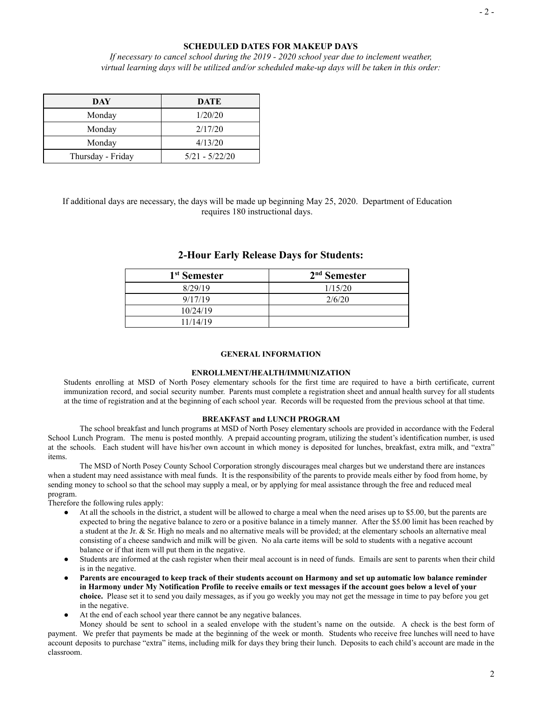### **SCHEDULED DATES FOR MAKEUP DAYS**

*If necessary to cancel school during the 2019 - 2020 school year due to inclement weather, virtual learning days will be utilized and/or scheduled make-up days will be taken in this order:*

| DAY               | <b>DATE</b>      |
|-------------------|------------------|
| Monday            | 1/20/20          |
| Monday            | 2/17/20          |
| Monday            | 4/13/20          |
| Thursday - Friday | $5/21 - 5/22/20$ |

If additional days are necessary, the days will be made up beginning May 25, 2020. Department of Education requires 180 instructional days.

| 1 <sup>st</sup> Semester | $2nd$ Semester |
|--------------------------|----------------|
| 8/29/19                  | 1/15/20        |
| 9/17/19                  | 2/6/20         |
| 10/24/19                 |                |
| 11/14/19                 |                |

# **2-Hour Early Release Days for Students:**

#### **GENERAL INFORMATION**

#### **ENROLLMENT/HEALTH/IMMUNIZATION**

Students enrolling at MSD of North Posey elementary schools for the first time are required to have a birth certificate, current immunization record, and social security number. Parents must complete a registration sheet and annual health survey for all students at the time of registration and at the beginning of each school year. Records will be requested from the previous school at that time.

#### **BREAKFAST and LUNCH PROGRAM**

The school breakfast and lunch programs at MSD of North Posey elementary schools are provided in accordance with the Federal School Lunch Program. The menu is posted monthly. A prepaid accounting program, utilizing the student's identification number, is used at the schools. Each student will have his/her own account in which money is deposited for lunches, breakfast, extra milk, and "extra" items.

The MSD of North Posey County School Corporation strongly discourages meal charges but we understand there are instances when a student may need assistance with meal funds. It is the responsibility of the parents to provide meals either by food from home, by sending money to school so that the school may supply a meal, or by applying for meal assistance through the free and reduced meal program.

Therefore the following rules apply:

- At all the schools in the district, a student will be allowed to charge a meal when the need arises up to \$5.00, but the parents are expected to bring the negative balance to zero or a positive balance in a timely manner. After the \$5.00 limit has been reached by a student at the Jr. & Sr. High no meals and no alternative meals will be provided; at the elementary schools an alternative meal consisting of a cheese sandwich and milk will be given. No ala carte items will be sold to students with a negative account balance or if that item will put them in the negative.
- Students are informed at the cash register when their meal account is in need of funds. Emails are sent to parents when their child is in the negative.
- Parents are encouraged to keep track of their students account on Harmony and set up automatic low balance reminder **in Harmony under My Notification Profile to receive emails or text messages if the account goes below a level of your choice.** Please set it to send you daily messages, as if you go weekly you may not get the message in time to pay before you get in the negative.
- At the end of each school year there cannot be any negative balances.

Money should be sent to school in a sealed envelope with the student's name on the outside. A check is the best form of payment. We prefer that payments be made at the beginning of the week or month. Students who receive free lunches will need to have account deposits to purchase "extra" items, including milk for days they bring their lunch. Deposits to each child's account are made in the classroom.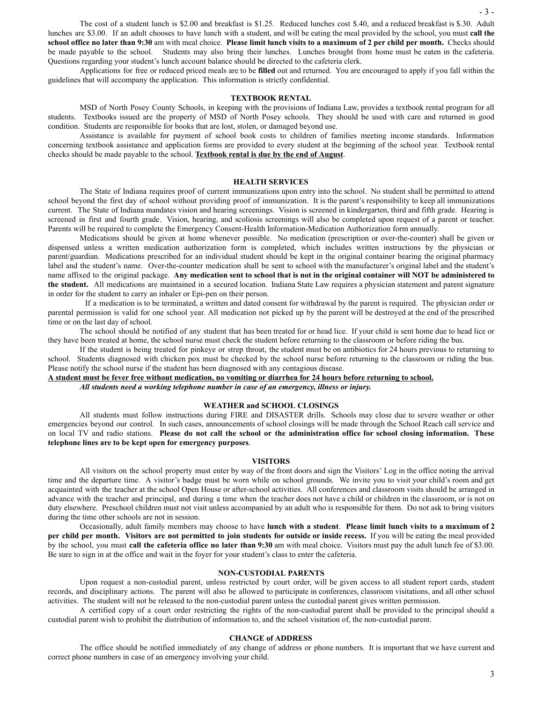The cost of a student lunch is \$2.00 and breakfast is \$1.25. Reduced lunches cost \$.40, and a reduced breakfast is \$.30. Adult lunches are \$3.00. If an adult chooses to have lunch with a student, and will be eating the meal provided by the school, you must **call the** school office no later than 9:30 am with meal choice. Please limit lunch visits to a maximum of 2 per child per month. Checks should be made payable to the school. Students may also bring their lunches. Lunches brought from home must be eaten in the cafeteria. Questions regarding your student's lunch account balance should be directed to the cafeteria clerk.

Applications for free or reduced priced meals are to be **filled** out and returned. You are encouraged to apply if you fall within the guidelines that will accompany the application. This information is strictly confidential.

#### **TEXTBOOK RENTAL**

MSD of North Posey County Schools, in keeping with the provisions of Indiana Law, provides a textbook rental program for all students. Textbooks issued are the property of MSD of North Posey schools. They should be used with care and returned in good condition. Students are responsible for books that are lost, stolen, or damaged beyond use.

Assistance is available for payment of school book costs to children of families meeting income standards. Information concerning textbook assistance and application forms are provided to every student at the beginning of the school year. Textbook rental checks should be made payable to the school. **Textbook rental is due by the end of August** .

#### **HEALTH SERVICES**

The State of Indiana requires proof of current immunizations upon entry into the school. No student shall be permitted to attend school beyond the first day of school without providing proof of immunization. It is the parent's responsibility to keep all immunizations current. The State of Indiana mandates vision and hearing screenings. Vision is screened in kindergarten, third and fifth grade. Hearing is screened in first and fourth grade. Vision, hearing, and scoliosis screenings will also be completed upon request of a parent or teacher. Parents will be required to complete the Emergency Consent-Health Information-Medication Authorization form annually.

Medications should be given at home whenever possible. No medication (prescription or over-the-counter) shall be given or dispensed unless a written medication authorization form is completed, which includes written instructions by the physician or parent/guardian. Medications prescribed for an individual student should be kept in the original container bearing the original pharmacy label and the student's name. Over-the-counter medication shall be sent to school with the manufacturer's original label and the student's name affixed to the original package. Any medication sent to school that is not in the original container will NOT be administered to **the student.** All medications are maintained in a secured location. Indiana State Law requires a physician statement and parent signature in order for the student to carry an inhaler or Epi-pen on their person.

If a medication is to be terminated, a written and dated consent for withdrawal by the parent is required. The physician order or parental permission is valid for one school year. All medication not picked up by the parent will be destroyed at the end of the prescribed time or on the last day of school.

The school should be notified of any student that has been treated for or head lice. If your child is sent home due to head lice or they have been treated at home, the school nurse must check the student before returning to the classroom or before riding the bus.

If the student is being treated for pinkeye or strep throat, the student must be on antibiotics for 24 hours previous to returning to school. Students diagnosed with chicken pox must be checked by the school nurse before returning to the classroom or riding the bus. Please notify the school nurse if the student has been diagnosed with any contagious disease.

**A student must be fever free without medication, no vomiting or diarrhea for 24 hours before returning to school.**

*All students need a working telephone number in case of an emergency, illness or injury.*

#### **WEATHER and SCHOOL CLOSINGS**

All students must follow instructions during FIRE and DISASTER drills. Schools may close due to severe weather or other emergencies beyond our control. In such cases, announcements of school closings will be made through the School Reach call service and on local TV and radio stations. Please do not call the school or the administration office for school closing information. These **telephone lines are to be kept open for emergency purposes** .

#### **VISITORS**

All visitors on the school property must enter by way of the front doors and sign the Visitors' Log in the office noting the arrival time and the departure time. A visitor's badge must be worn while on school grounds. We invite you to visit your child's room and get acquainted with the teacher at the school Open House or after-school activities. All conferences and classroom visits should be arranged in advance with the teacher and principal, and during a time when the teacher does not have a child or children in the classroom, or is not on duty elsewhere. Preschool children must not visit unless accompanied by an adult who is responsible for them. Do not ask to bring visitors during the time other schools are not in session.

Occasionally, adult family members may choose to have **lunch with a student** . **Please limit lunch visits to a maximum of 2** per child per month. Visitors are not permitted to join students for outside or inside recess. If you will be eating the meal provided by the school, you must **call the cafeteria office no later than 9:30** am with meal choice. Visitors must pay the adult lunch fee of \$3.00. Be sure to sign in at the office and wait in the foyer for your student's class to enter the cafeteria.

#### **NON-CUSTODIAL PARENTS**

Upon request a non-custodial parent, unless restricted by court order, will be given access to all student report cards, student records, and disciplinary actions. The parent will also be allowed to participate in conferences, classroom visitations, and all other school activities. The student will not be released to the non-custodial parent unless the custodial parent gives written permission.

A certified copy of a court order restricting the rights of the non-custodial parent shall be provided to the principal should a custodial parent wish to prohibit the distribution of information to, and the school visitation of, the non-custodial parent.

#### **CHANGE of ADDRESS**

The office should be notified immediately of any change of address or phone numbers. It is important that we have current and correct phone numbers in case of an emergency involving your child.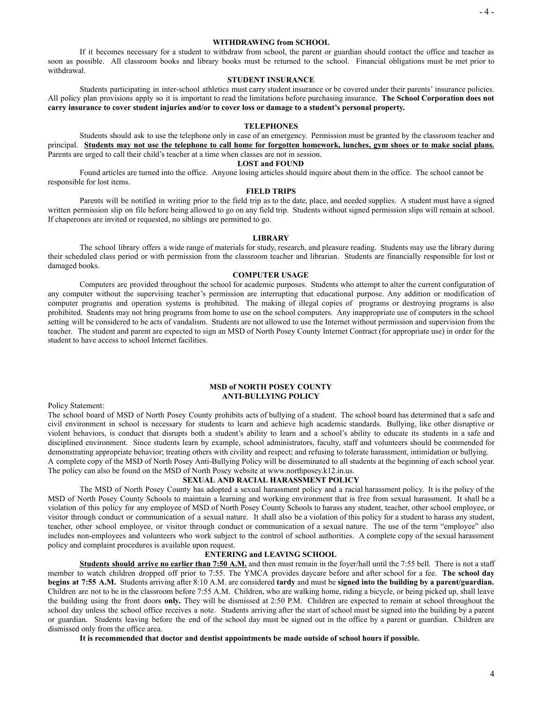#### **WITHDRAWING from SCHOOL**

If it becomes necessary for a student to withdraw from school, the parent or guardian should contact the office and teacher as soon as possible. All classroom books and library books must be returned to the school. Financial obligations must be met prior to withdrawal.

#### **STUDENT INSURANCE**

Students participating in inter-school athletics must carry student insurance or be covered under their parents' insurance policies. All policy plan provisions apply so it is important to read the limitations before purchasing insurance. **The School Corporation does not carry insurance to cover student injuries and/or to cover loss or damage to a student's personal property.**

#### **TELEPHONES**

Students should ask to use the telephone only in case of an emergency. Permission must be granted by the classroom teacher and principal. Students may not use the telephone to call home for forgotten homework, lunches, gym shoes or to make social plans. Parents are urged to call their child's teacher at a time when classes are not in session.

#### **LOST and FOUND**

Found articles are turned into the office. Anyone losing articles should inquire about them in the office. The school cannot be responsible for lost items.

#### **FIELD TRIPS**

Parents will be notified in writing prior to the field trip as to the date, place, and needed supplies. A student must have a signed written permission slip on file before being allowed to go on any field trip. Students without signed permission slips will remain at school. If chaperones are invited or requested, no siblings are permitted to go.

#### **LIBRARY**

The school library offers a wide range of materials for study, research, and pleasure reading. Students may use the library during their scheduled class period or with permission from the classroom teacher and librarian. Students are financially responsible for lost or damaged books.

#### **COMPUTER USAGE**

Computers are provided throughout the school for academic purposes. Students who attempt to alter the current configuration of any computer without the supervising teacher's permission are interrupting that educational purpose. Any addition or modification of computer programs and operation systems is prohibited. The making of illegal copies of programs or destroying programs is also prohibited. Students may not bring programs from home to use on the school computers. Any inappropriate use of computers in the school setting will be considered to be acts of vandalism. Students are not allowed to use the Internet without permission and supervision from the teacher. The student and parent are expected to sign an MSD of North Posey County Internet Contract (for appropriate use) in order for the student to have access to school Internet facilities.

#### **MSD of NORTH POSEY COUNTY ANTI-BULLYING POLICY**

Policy Statement:

The school board of MSD of North Posey County prohibits acts of bullying of a student. The school board has determined that a safe and civil environment in school is necessary for students to learn and achieve high academic standards. Bullying, like other disruptive or violent behaviors, is conduct that disrupts both a student's ability to learn and a school's ability to educate its students in a safe and disciplined environment. Since students learn by example, school administrators, faculty, staff and volunteers should be commended for demonstrating appropriate behavior; treating others with civility and respect; and refusing to tolerate harassment, intimidation or bullying. A complete copy of the MSD of North Posey Anti-Bullying Policy will be disseminated to all students at the beginning of each school year.

#### The policy can also be found on the MSD of North Posey website at www.northposey.k12.in.us. **SEXUAL AND RACIAL HARASSMENT POLICY**

The MSD of North Posey County has adopted a sexual harassment policy and a racial harassment policy. It is the policy of the MSD of North Posey County Schools to maintain a learning and working environment that is free from sexual harassment. It shall be a violation of this policy for any employee of MSD of North Posey County Schools to harass any student, teacher, other school employee, or visitor through conduct or communication of a sexual nature. It shall also be a violation of this policy for a student to harass any student, teacher, other school employee, or visitor through conduct or communication of a sexual nature. The use of the term "employee" also includes non-employees and volunteers who work subject to the control of school authorities. A complete copy of the sexual harassment policy and complaint procedures is available upon request.

#### **ENTERING and LEAVING SCHOOL**

**Students should arrive no earlier than 7:50 A.M.** and then must remain in the foyer/hall until the 7:55 bell. There is not a staff member to watch children dropped off prior to 7:55. The YMCA provides daycare before and after school for a fee. **The school day begins at 7:55 A.M.** Students arriving after 8:10 A.M. are considered **tardy** and must be **signed into the building by a parent/guardian.** Children are not to be in the classroom before 7:55 A.M. Children, who are walking home, riding a bicycle, or being picked up, shall leave the building using the front doors **only.** They will be dismissed at 2:50 P.M. Children are expected to remain at school throughout the school day unless the school office receives a note. Students arriving after the start of school must be signed into the building by a parent or guardian. Students leaving before the end of the school day must be signed out in the office by a parent or guardian. Children are dismissed only from the office area.

**It is recommended that doctor and dentist appointments be made outside of school hours if possible.**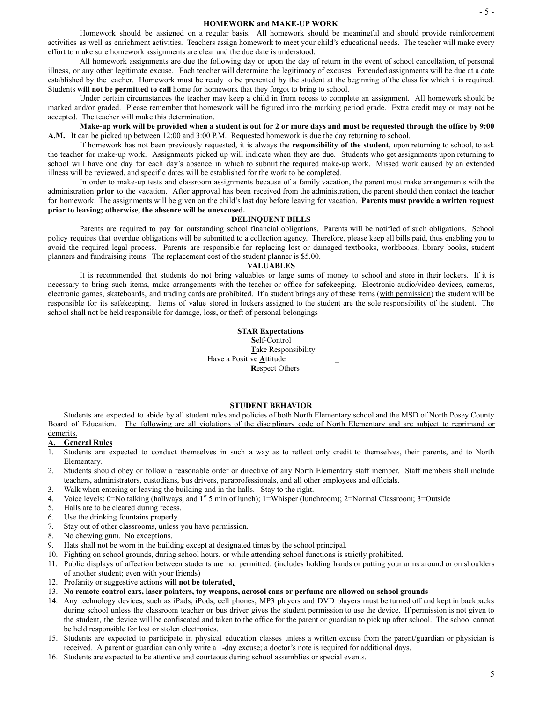#### **HOMEWORK and MAKE-UP WORK**

Homework should be assigned on a regular basis. All homework should be meaningful and should provide reinforcement activities as well as enrichment activities. Teachers assign homework to meet your child's educational needs. The teacher will make every effort to make sure homework assignments are clear and the due date is understood.

All homework assignments are due the following day or upon the day of return in the event of school cancellation, of personal illness, or any other legitimate excuse. Each teacher will determine the legitimacy of excuses. Extended assignments will be due at a date established by the teacher. Homework must be ready to be presented by the student at the beginning of the class for which it is required. Students **will not be permitted to call** home for homework that they forgot to bring to school.

Under certain circumstances the teacher may keep a child in from recess to complete an assignment. All homework should be marked and/or graded. Please remember that homework will be figured into the marking period grade. Extra credit may or may not be accepted. The teacher will make this determination.

Make-up work will be provided when a student is out for 2 or more days and must be requested through the office by 9:00 A.M. It can be picked up between 12:00 and 3:00 P.M. Requested homework is due the day returning to school.

If homework has not been previously requested, it is always the **responsibility of the student**, upon returning to school, to ask the teacher for make-up work. Assignments picked up will indicate when they are due. Students who get assignments upon returning to school will have one day for each day's absence in which to submit the required make-up work. Missed work caused by an extended illness will be reviewed, and specific dates will be established for the work to be completed.

In order to make-up tests and classroom assignments because of a family vacation, the parent must make arrangements with the administration **prior** to the vacation. After approval has been received from the administration, the parent should then contact the teacher for homework. The assignments will be given on the child's last day before leaving for vacation. **Parents must provide a written request prior to leaving; otherwise, the absence will be unexcused.**

#### **DELINQUENT BILLS**

Parents are required to pay for outstanding school financial obligations. Parents will be notified of such obligations. School policy requires that overdue obligations will be submitted to a collection agency. Therefore, please keep all bills paid, thus enabling you to avoid the required legal process. Parents are responsible for replacing lost or damaged textbooks, workbooks, library books, student planners and fundraising items. The replacement cost of the student planner is \$5.00.

#### **VALUABLES**

It is recommended that students do not bring valuables or large sums of money to school and store in their lockers. If it is necessary to bring such items, make arrangements with the teacher or office for safekeeping. Electronic audio/video devices, cameras, electronic games, skateboards, and trading cards are prohibited. If a student brings any of these items ( with permission ) the student will be responsible for its safekeeping. Items of value stored in lockers assigned to the student are the sole responsibility of the student. The school shall not be held responsible for damage, loss, or theft of personal belongings

> **STAR Expectations S** elf-Control *Take Responsibility*  Have a Positive **A** ttitude **\_ Respect Others**

#### **STUDENT BEHAVIOR**

Students are expected to abide by all student rules and policies of both North Elementary school and the MSD of North Posey County Board of Education. The following are all violations of the disciplinary code of North Elementary and are subject to reprimand or demerits.

#### **A. General Rules**

- 1. Students are expected to conduct themselves in such a way as to reflect only credit to themselves, their parents, and to North Elementary.
- 2. Students should obey or follow a reasonable order or directive of any North Elementary staff member. Staff members shall include teachers, administrators, custodians, bus drivers, paraprofessionals, and all other employees and officials.
- 3. Walk when entering or leaving the building and in the halls. Stay to the right.
- 4. Voice levels:  $0 = No$  talking (hallways, and  $1^{st}$  5 min of lunch);  $1 = Whisper$  (lunchroom);  $2 = Normal$  Classroom;  $3 = Outside$
- 5. Halls are to be cleared during recess.
- 6. Use the drinking fountains properly.
- 7. Stay out of other classrooms, unless you have permission.
- 8. No chewing gum. No exceptions.
- 9. Hats shall not be worn in the building except at designated times by the school principal.
- 10. Fighting on school grounds, during school hours, or while attending school functions is strictly prohibited.
- 11. Public displays of affection between students are not permitted. (includes holding hands or putting your arms around or on shoulders of another student; even with your friends)
- 12. Profanity or suggestive actions **will not be tolerated** .
- 13. **No remote control cars, laser pointers, toy weapons, aerosol cans or perfume are allowed on school grounds**
- 14. Any technology devices, such as iPads, iPods, cell phones, MP3 players and DVD players must be turned off and kept in backpacks during school unless the classroom teacher or bus driver gives the student permission to use the device. If permission is not given to the student, the device will be confiscated and taken to the office for the parent or guardian to pick up after school. The school cannot be held responsible for lost or stolen electronics.
- 15. Students are expected to participate in physical education classes unless a written excuse from the parent/guardian or physician is received. A parent or guardian can only write a 1-day excuse; a doctor's note is required for additional days.
- 16. Students are expected to be attentive and courteous during school assemblies or special events.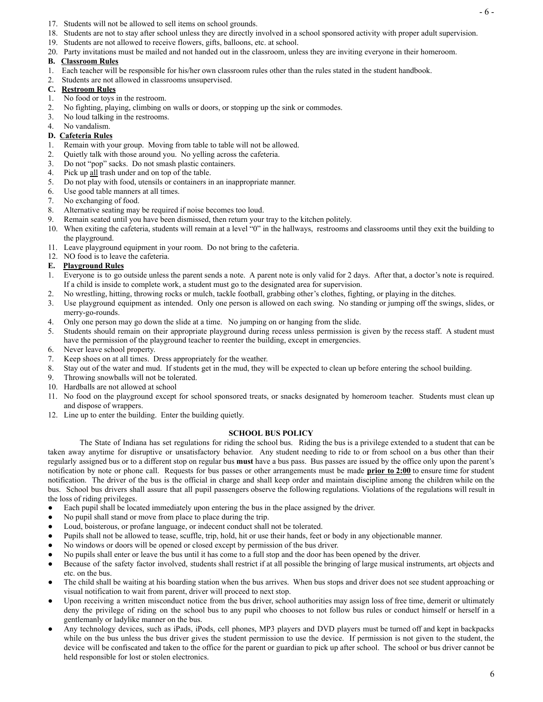- 17. Students will not be allowed to sell items on school grounds.
- 18. Students are not to stay after school unless they are directly involved in a school sponsored activity with proper adult supervision.
- 19. Students are not allowed to receive flowers, gifts, balloons, etc. at school.
- 20. Party invitations must be mailed and not handed out in the classroom, unless they are inviting everyone in their homeroom.

#### **B. Classroom Rules**

- 1. Each teacher will be responsible for his/her own classroom rules other than the rules stated in the student handbook.
- 2. Students are not allowed in classrooms unsupervised.

#### **C. Restroom Rules**

- 1. No food or toys in the restroom.
- 2. No fighting, playing, climbing on walls or doors, or stopping up the sink or commodes.
- 3. No loud talking in the restrooms.
- 4. No vandalism.

# **D. Cafeteria Rules**

- 1. Remain with your group. Moving from table to table will not be allowed.
- 2. Quietly talk with those around you. No yelling across the cafeteria.
- 3. Do not "pop" sacks. Do not smash plastic containers.
- 4. Pick up all trash under and on top of the table.
- 5. Do not play with food, utensils or containers in an inappropriate manner.
- 6. Use good table manners at all times.
- 7. No exchanging of food.
- 8. Alternative seating may be required if noise becomes too loud.
- 9. Remain seated until you have been dismissed, then return your tray to the kitchen politely.
- 10. When exiting the cafeteria, students will remain at a level "0" in the hallways, restrooms and classrooms until they exit the building to the playground.
- 11. Leave playground equipment in your room. Do not bring to the cafeteria.
- 12. NO food is to leave the cafeteria.

#### **E. Playground Rules**

- 1. Everyone is to go outside unless the parent sends a note. A parent note is only valid for 2 days. After that, a doctor's note is required. If a child is inside to complete work, a student must go to the designated area for supervision.
- 2. No wrestling, hitting, throwing rocks or mulch, tackle football, grabbing other's clothes, fighting, or playing in the ditches.
- 3. Use playground equipment as intended. Only one person is allowed on each swing. No standing or jumping off the swings, slides, or merry-go-rounds.
- 4. Only one person may go down the slide at a time. No jumping on or hanging from the slide.
- 5. Students should remain on their appropriate playground during recess unless permission is given by the recess staff. A student must have the permission of the playground teacher to reenter the building, except in emergencies.
- 6. Never leave school property.
- 7. Keep shoes on at all times. Dress appropriately for the weather.
- 8. Stay out of the water and mud. If students get in the mud, they will be expected to clean up before entering the school building.
- 9. Throwing snowballs will not be tolerated.
- 10. Hardballs are not allowed at school
- 11. No food on the playground except for school sponsored treats, or snacks designated by homeroom teacher. Students must clean up and dispose of wrappers.
- 12. Line up to enter the building. Enter the building quietly.

#### **SCHOOL BUS POLICY**

The State of Indiana has set regulations for riding the school bus. Riding the bus is a privilege extended to a student that can be taken away anytime for disruptive or unsatisfactory behavior. Any student needing to ride to or from school on a bus other than their regularly assigned bus or to a different stop on regular bus **must** have a bus pass. Bus passes are issued by the office only upon the parent's notification by note or phone call. Requests for bus passes or other arrangements must be made **prior to 2:00** to ensure time for student notification. The driver of the bus is the official in charge and shall keep order and maintain discipline among the children while on the bus. School bus drivers shall assure that all pupil passengers observe the following regulations. Violations of the regulations will result in the loss of riding privileges.

- Each pupil shall be located immediately upon entering the bus in the place assigned by the driver.
- No pupil shall stand or move from place to place during the trip.
- Loud, boisterous, or profane language, or indecent conduct shall not be tolerated.
- Pupils shall not be allowed to tease, scuffle, trip, hold, hit or use their hands, feet or body in any objectionable manner.
- No windows or doors will be opened or closed except by permission of the bus driver.
- No pupils shall enter or leave the bus until it has come to a full stop and the door has been opened by the driver.
- Because of the safety factor involved, students shall restrict if at all possible the bringing of large musical instruments, art objects and etc. on the bus.
- The child shall be waiting at his boarding station when the bus arrives. When bus stops and driver does not see student approaching or visual notification to wait from parent, driver will proceed to next stop.
- Upon receiving a written misconduct notice from the bus driver, school authorities may assign loss of free time, demerit or ultimately deny the privilege of riding on the school bus to any pupil who chooses to not follow bus rules or conduct himself or herself in a gentlemanly or ladylike manner on the bus.
- Any technology devices, such as iPads, iPods, cell phones, MP3 players and DVD players must be turned off and kept in backpacks while on the bus unless the bus driver gives the student permission to use the device. If permission is not given to the student, the device will be confiscated and taken to the office for the parent or guardian to pick up after school. The school or bus driver cannot be held responsible for lost or stolen electronics.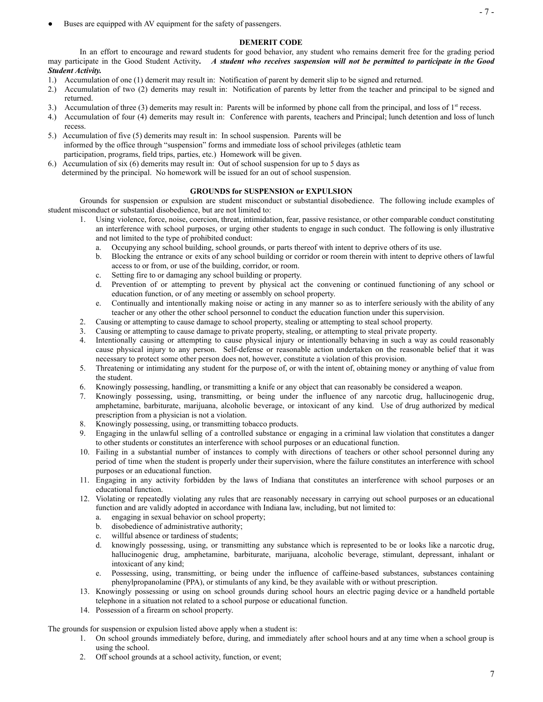Buses are equipped with AV equipment for the safety of passengers.

#### **DEMERIT CODE**

In an effort to encourage and reward students for good behavior, any student who remains demerit free for the grading period may participate in the Good Student Activity. A student who receives suspension will not be permitted to participate in the Good *Student Activity.*

- 1.) Accumulation of one (1) demerit may result in: Notification of parent by demerit slip to be signed and returned.
- 2.) Accumulation of two (2) demerits may result in: Notification of parents by letter from the teacher and principal to be signed and returned.
- 3.) Accumulation of three (3) demerits may result in: Parents will be informed by phone call from the principal, and loss of  $1<sup>st</sup>$  recess.
- 4.) Accumulation of four (4) demerits may result in: Conference with parents, teachers and Principal; lunch detention and loss of lunch recess.
- 5.) Accumulation of five (5) demerits may result in: In school suspension. Parents will be informed by the office through "suspension" forms and immediate loss of school privileges (athletic team participation, programs, field trips, parties, etc.) Homework will be given.
- 6.) Accumulation of six (6) demerits may result in: Out of school suspension for up to 5 days as determined by the principal. No homework will be issued for an out of school suspension.

#### **GROUNDS for SUSPENSION or EXPULSION**

Grounds for suspension or expulsion are student misconduct or substantial disobedience. The following include examples of student misconduct or substantial disobedience, but are not limited to:

- 1. Using violence, force, noise, coercion, threat, intimidation, fear, passive resistance, or other comparable conduct constituting an interference with school purposes, or urging other students to engage in such conduct. The following is only illustrative and not limited to the type of prohibited conduct:
	- a. Occupying any school building, school grounds, or parts thereof with intent to deprive others of its use.
	- b. Blocking the entrance or exits of any school building or corridor or room therein with intent to deprive others of lawful access to or from, or use of the building, corridor, or room.
	- c. Setting fire to or damaging any school building or property.
	- d. Prevention of or attempting to prevent by physical act the convening or continued functioning of any school or education function, or of any meeting or assembly on school property.
	- e. Continually and intentionally making noise or acting in any manner so as to interfere seriously with the ability of any teacher or any other the other school personnel to conduct the education function under this supervision.
- 2. Causing or attempting to cause damage to school property, stealing or attempting to steal school property.
- 3. Causing or attempting to cause damage to private property, stealing, or attempting to steal private property.
- 4. Intentionally causing or attempting to cause physical injury or intentionally behaving in such a way as could reasonably cause physical injury to any person. Self-defense or reasonable action undertaken on the reasonable belief that it was necessary to protect some other person does not, however, constitute a violation of this provision.
- 5. Threatening or intimidating any student for the purpose of, or with the intent of, obtaining money or anything of value from the student.
- 6. Knowingly possessing, handling, or transmitting a knife or any object that can reasonably be considered a weapon.
- 7. Knowingly possessing, using, transmitting, or being under the influence of any narcotic drug, hallucinogenic drug, amphetamine, barbiturate, marijuana, alcoholic beverage, or intoxicant of any kind. Use of drug authorized by medical prescription from a physician is not a violation.
- 8. Knowingly possessing, using, or transmitting tobacco products.
- 9. Engaging in the unlawful selling of a controlled substance or engaging in a criminal law violation that constitutes a danger to other students or constitutes an interference with school purposes or an educational function.
- 10. Failing in a substantial number of instances to comply with directions of teachers or other school personnel during any period of time when the student is properly under their supervision, where the failure constitutes an interference with school purposes or an educational function.
- 11. Engaging in any activity forbidden by the laws of Indiana that constitutes an interference with school purposes or an educational function.
- 12. Violating or repeatedly violating any rules that are reasonably necessary in carrying out school purposes or an educational function and are validly adopted in accordance with Indiana law, including, but not limited to:
	- a. engaging in sexual behavior on school property;
	- b. disobedience of administrative authority;
	- c. willful absence or tardiness of students;
	- d. knowingly possessing, using, or transmitting any substance which is represented to be or looks like a narcotic drug, hallucinogenic drug, amphetamine, barbiturate, marijuana, alcoholic beverage, stimulant, depressant, inhalant or intoxicant of any kind;
	- e. Possessing, using, transmitting, or being under the influence of caffeine-based substances, substances containing phenylpropanolamine (PPA), or stimulants of any kind, be they available with or without prescription.
- 13. Knowingly possessing or using on school grounds during school hours an electric paging device or a handheld portable telephone in a situation not related to a school purpose or educational function.
- 14. Possession of a firearm on school property.

The grounds for suspension or expulsion listed above apply when a student is:

- 1. On school grounds immediately before, during, and immediately after school hours and at any time when a school group is using the school.
- 2. Off school grounds at a school activity, function, or event;

- 7 -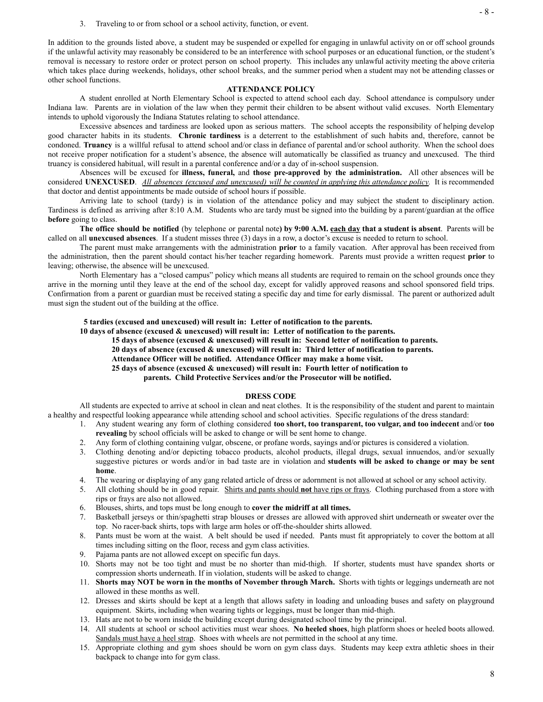In addition to the grounds listed above, a student may be suspended or expelled for engaging in unlawful activity on or off school grounds if the unlawful activity may reasonably be considered to be an interference with school purposes or an educational function, or the student's removal is necessary to restore order or protect person on school property. This includes any unlawful activity meeting the above criteria which takes place during weekends, holidays, other school breaks, and the summer period when a student may not be attending classes or other school functions.

#### **ATTENDANCE POLICY**

A student enrolled at North Elementary School is expected to attend school each day. School attendance is compulsory under Indiana law. Parents are in violation of the law when they permit their children to be absent without valid excuses. North Elementary intends to uphold vigorously the Indiana Statutes relating to school attendance.

Excessive absences and tardiness are looked upon as serious matters. The school accepts the responsibility of helping develop good character habits in its students. **Chronic tardiness** is a deterrent to the establishment of such habits and, therefore, cannot be condoned. **Truancy** is a willful refusal to attend school and/or class in defiance of parental and/or school authority. When the school does not receive proper notification for a student's absence, the absence will automatically be classified as truancy and unexcused. The third truancy is considered habitual, will result in a parental conference and/or a day of in-school suspension.

Absences will be excused for **illness, funeral,** and **those pre-approved by the administration.** All other absences will be considered UNEXCUSED. All absences (excused and unexcused) will be counted in applying this attendance policy. It is recommended that doctor and dentist appointments be made outside of school hours if possible.

Arriving late to school (tardy) is in violation of the attendance policy and may subject the student to disciplinary action. Tardiness is defined as arriving after 8:10 A.M. Students who are tardy must be signed into the building by a parent/guardian at the office **before** going to class.

The office should be notified (by telephone or parental note) by 9:00 A.M. each day that a student is absent. Parents will be called on all **unexcused absences** . If a student misses three (3) days in a row, a doctor's excuse is needed to return to school.

The parent must make arrangements with the administration **prior** to a family vacation. After approval has been received from the administration, then the parent should contact his/her teacher regarding homework. Parents must provide a written request **prior** to leaving; otherwise, the absence will be unexcused.

North Elementary has a "closed campus" policy which means all students are required to remain on the school grounds once they arrive in the morning until they leave at the end of the school day, except for validly approved reasons and school sponsored field trips. Confirmation from a parent or guardian must be received stating a specific day and time for early dismissal. The parent or authorized adult must sign the student out of the building at the office.

**5 tardies (excused and unexcused) will result in: Letter of notification to the parents.**

**10 days of absence (excused & unexcused) will result in: Letter of notification to the parents.**

**15 days of absence (excused & unexcused) will result in: Second letter of notification to parents.**

**20 days of absence (excused & unexcused) will result in: Third letter of notification to parents.**

**Attendance Officer will be notified. Attendance Officer may make a home visit.**

**25 days of absence (excused & unexcused) will result in: Fourth letter of notification to**

**parents. Child Protective Services and/or the Prosecutor will be notified.**

#### **DRESS CODE**

All students are expected to arrive at school in clean and neat clothes. It is the responsibility of the student and parent to maintain a healthy and respectful looking appearance while attending school and school activities. Specific regulations of the dress standard:

- 1. Any student wearing any form of clothing considered **too short, too transparent, too vulgar, and too indecent** and/or **too revealing** by school officials will be asked to change or will be sent home to change.
- 2. Any form of clothing containing vulgar, obscene, or profane words, sayings and/or pictures is considered a violation.
- 3. Clothing denoting and/or depicting tobacco products, alcohol products, illegal drugs, sexual innuendos, and/or sexually suggestive pictures or words and/or in bad taste are in violation and **students will be asked to change or may be sent** home.
- 4. The wearing or displaying of any gang related article of dress or adornment is not allowed at school or any school activity.
- 5. All clothing should be in good repair. Shirts and pants should **not** have rips or frays . Clothing purchased from a store with rips or frays are also not allowed.
- 6. Blouses, shirts, and tops must be long enough to **cover the midriff at all times.**
- 7. Basketball jerseys or thin/spaghetti strap blouses or dresses are allowed with approved shirt underneath or sweater over the top. No racer-back shirts, tops with large arm holes or off-the-shoulder shirts allowed.
- 8. Pants must be worn at the waist. A belt should be used if needed. Pants must fit appropriately to cover the bottom at all times including sitting on the floor, recess and gym class activities.
- 9. Pajama pants are not allowed except on specific fun days.
- 10. Shorts may not be too tight and must be no shorter than mid-thigh. If shorter, students must have spandex shorts or compression shorts underneath. If in violation, students will be asked to change.
- 11. **Shorts may NOT be worn in the months of November through March.** Shorts with tights or leggings underneath are not allowed in these months as well.
- 12. Dresses and skirts should be kept at a length that allows safety in loading and unloading buses and safety on playground equipment. Skirts, including when wearing tights or leggings, must be longer than mid-thigh.
- 13. Hats are not to be worn inside the building except during designated school time by the principal.
- 14. All students at school or school activities must wear shoes. **No heeled shoes** , high platform shoes or heeled boots allowed. Sandals must have a heel strap. Shoes with wheels are not permitted in the school at any time.
- 15. Appropriate clothing and gym shoes should be worn on gym class days. Students may keep extra athletic shoes in their backpack to change into for gym class.